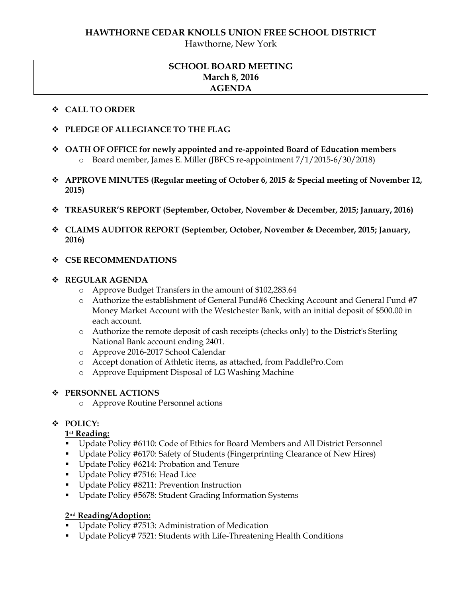Hawthorne, New York

## **SCHOOL BOARD MEETING March 8, 2016 AGENDA**

#### **CALL TO ORDER**

- **PLEDGE OF ALLEGIANCE TO THE FLAG**
- **OATH OF OFFICE for newly appointed and re-appointed Board of Education members** o Board member, James E. Miller (JBFCS re-appointment 7/1/2015-6/30/2018)
- **APPROVE MINUTES (Regular meeting of October 6, 2015 & Special meeting of November 12, 2015)**
- **TREASURER'S REPORT (September, October, November & December, 2015; January, 2016)**
- **CLAIMS AUDITOR REPORT (September, October, November & December, 2015; January, 2016)**
- **CSE RECOMMENDATIONS**

#### **REGULAR AGENDA**

- o Approve Budget Transfers in the amount of \$102,283.64
- o Authorize the establishment of General Fund#6 Checking Account and General Fund #7 Money Market Account with the Westchester Bank, with an initial deposit of \$500.00 in each account.
- o Authorize the remote deposit of cash receipts (checks only) to the District's Sterling National Bank account ending 2401.
- o Approve 2016-2017 School Calendar
- o Accept donation of Athletic items, as attached, from PaddlePro.Com
- o Approve Equipment Disposal of LG Washing Machine

### **PERSONNEL ACTIONS**

o Approve Routine Personnel actions

## **POLICY:**

### **1st Reading:**

- Update Policy #6110: Code of Ethics for Board Members and All District Personnel
- Update Policy #6170: Safety of Students (Fingerprinting Clearance of New Hires)
- Update Policy #6214: Probation and Tenure
- Update Policy #7516: Head Lice
- Update Policy #8211: Prevention Instruction
- Update Policy #5678: Student Grading Information Systems

### **2nd Reading/Adoption:**

- **Update Policy #7513: Administration of Medication**
- Update Policy# 7521: Students with Life-Threatening Health Conditions